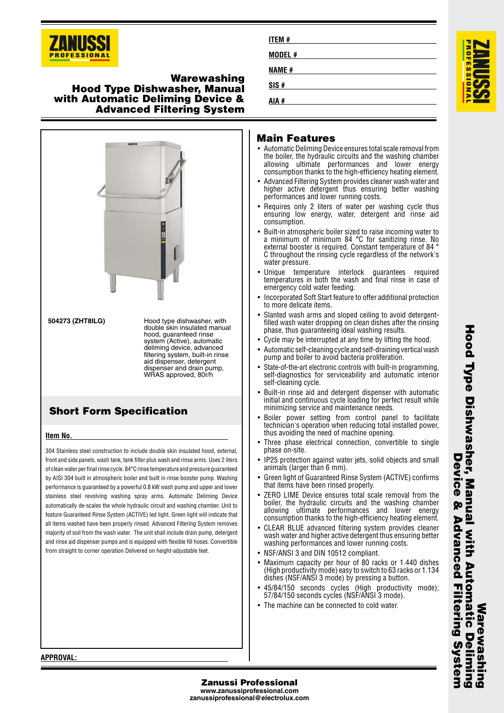

# **Warewashing Hood Type Dishwasher, Manual with Automatic Deliming Device & Advanced Filtering System**



## **Item No.**

304 Stainless steel construction to include double skin insulated hood, external, front and side panels, wash tank, tank filter plus wash and rinse arms. Uses 2 liters of clean water per final rinse cycle. 84°C rinse temperature and pressure guaranteed by AISI 304 built in atmospheric boiler and built in rinse booster pump. Washing performance is guaranteed by a powerful 0.8 kW wash pump and upper and lower stainless steel revolving washing spray arms. Automatic Deliming Device automatically de-scales the whole hydraulic circuit and washing chamber. Unit to feature Guaranteed Rinse System (ACTIVE) led light. Green light will indicate that all items washed have been properly rinsed. Advanced Filtering System removes majority of soil from the wash water. The unit shall include drain pump, detergent and rinse aid dispenser pumps and is equipped with flexible fill hoses. Convertible from straight to corner operation Delivered on height-adjustable feet.

| <b>ITEM#</b>  |  |  |
|---------------|--|--|
| <b>MODEL#</b> |  |  |
| <b>NAME#</b>  |  |  |
| SIS#          |  |  |
| AIA #         |  |  |

# **Main Features**

- Automatic Deliming Device ensures total scale removal from the boiler, the hydraulic circuits and the washing chamber allowing ultimate performances and lower energy consumption thanks to the high-efficiency heating element.
- • Advanced Filtering System provides cleaner wash water and higher active detergent thus ensuring better washing performances and lower running costs.
- Requires only 2 liters of water per washing cycle thus ensuring low energy, water, detergent and rinse aid consumption.
- Built-in atmospheric boiler sized to raise incoming water to a minimum of minimum 84 °C for sanitizing rinse. No external booster is required. Constant temperature of 84 ° C throughout the rinsing cycle regardless of the network's water pressure.
- • Unique temperature interlock guarantees required temperatures in both the wash and final rinse in case of emergency cold water feeding.
- • Incorporated Soft Start feature to offer additional protection to more delicate items.
- • Slanted wash arms and sloped ceiling to avoid detergentfilled wash water dropping on clean dishes after the rinsing phase, thus guaranteeing ideal washing results.
- Cycle may be interrupted at any time by lifting the hood.
- Automatic self-cleaning cycle and self-draining vertical wash pump and boiler to avoid bacteria proliferation.
- • State-of-the-art electronic controls with built-in programming, self-diagnostics for serviceability and automatic interior self-cleaning cycle.
- Built-in rinse aid and detergent dispenser with automatic initial and continuous cycle loading for perfect result while minimizing service and maintenance needs.
- Boiler power setting from control panel to facilitate technician's operation when reducing total installed power, thus avoiding the need of machine opening.
- • Three phase electrical connection, convertible to single phase on-site.
- IP25 protection against water jets, solid objects and small animals (larger than 6 mm).
- • Green light of Guaranteed Rinse System (ACTIVE) confirms that items have been rinsed properly.
- • ZERO LIME Device ensures total scale removal from the boiler, the hydraulic circuits and the washing chamber allowing ultimate performances and lower energy consumption thanks to the high-efficiency heating element.
- • CLEAR BLUE advanced filtering system provides cleaner wash water and higher active detergent thus ensuring better washing performances and lower running costs.
- NSF/ANSI 3 and DIN 10512 compliant.
- • Maximum capacity per hour of 80 racks or 1.440 dishes (High productivity mode) easy to switch to 63 racks or 1.134 dishes (NSF/ANSI 3 mode) by pressing a button.
- 45/84/150 seconds cycles (High productivity mode); 57/84/150 seconds cycles (NSF/ANSI 3 mode).
- The machine can be connected to cold water.

**Hood Type Dishwasher, Manual with Automatic Deliming** Hood Distrusters, Manual Arth Actoratic Delimi **Device Device & Advanced Filtering System**  $\tilde{R}$ **Advanced Filtering S Warewashing** Marewas **Vstel** 

## **APPROVAL:**

•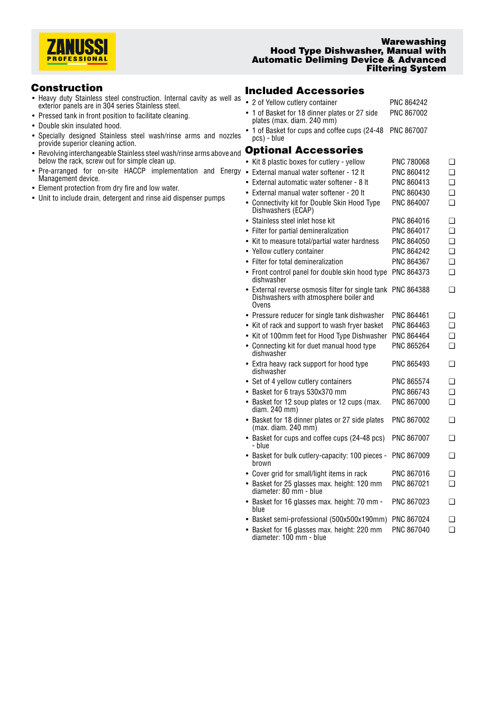

## **Warewashing Hood Type Dishwasher, Manual with Automatic Deliming Device & Advanced Filtering System**

# **Construction**

- Heavy duty Stainless steel construction. Internal cavity as well as exterior panels are in 304 series Stainless steel.
- Pressed tank in front position to facilitate cleaning.
- Double skin insulated hood.
- Specially designed Stainless steel wash/rinse arms and nozzles provide superior cleaning action.
- Revolving interchangeable Stainless steel wash/rinse arms above and below the rack, screw out for simple clean up.
- Pre-arranged for on-site HACCP implementation and Energy Management device.
- Element protection from dry fire and low water.
- Unit to include drain, detergent and rinse aid dispenser pumps

# **Included Accessories**

| • 2 of Yellow cutlery container                                                                      | <b>PNC 864242</b> |        |
|------------------------------------------------------------------------------------------------------|-------------------|--------|
| • 1 of Basket for 18 dinner plates or 27 side<br>plates (max. diam. 240 mm)                          | PNC 867002        |        |
| • 1 of Basket for cups and coffee cups (24-48<br>pcs) - blue                                         | <b>PNC 867007</b> |        |
| <b>Optional Accessories</b>                                                                          |                   |        |
| • Kit 8 plastic boxes for cutlery - yellow                                                           | PNC 780068        | ◻      |
| • External manual water softener - 12 It                                                             | PNC 860412        | n      |
| External automatic water softener - 8 It                                                             | PNC 860413        | $\Box$ |
| External manual water softener - 20 lt                                                               | PNC 860430        | $\Box$ |
| • Connectivity kit for Double Skin Hood Type<br>Dishwashers (ECAP)                                   | PNC 864007        | $\Box$ |
| • Stainless steel inlet hose kit                                                                     | PNC 864016        | ∩      |
| • Filter for partial demineralization                                                                | PNC 864017        | $\Box$ |
| • Kit to measure total/partial water hardness                                                        | PNC 864050        | $\Box$ |
| • Yellow cutlery container                                                                           | PNC 864242        | $\Box$ |
| • Filter for total demineralization                                                                  | PNC 864367        | $\Box$ |
| • Front control panel for double skin hood type<br>dishwasher                                        | PNC 864373        | $\Box$ |
| • External reverse osmosis filter for single tank<br>Dishwashers with atmosphere boiler and<br>Ovens | PNC 864388        | ❏      |
| • Pressure reducer for single tank dishwasher                                                        | PNC 864461        | ◻      |
| • Kit of rack and support to wash fryer basket                                                       | PNC 864463        | n      |
| • Kit of 100mm feet for Hood Type Dishwasher                                                         | PNC 864464        | $\Box$ |
| • Connecting kit for duet manual hood type<br>dishwasher                                             | PNC 865264        | n      |
| • Extra heavy rack support for hood type<br>dishwasher                                               | PNC 865493        | ◻      |
| • Set of 4 yellow cutlery containers                                                                 | PNC 865574        | ❏      |
| • Basket for 6 trays 530x370 mm                                                                      | PNC 866743        | $\Box$ |
| • Basket for 12 soup plates or 12 cups (max.<br>diam. 240 mm)                                        | PNC 867000        | ◻      |
| • Basket for 18 dinner plates or 27 side plates<br>(max. diam. 240 mm)                               | PNC 867002        | $\Box$ |
| • Basket for cups and coffee cups (24-48 pcs)<br>- blue                                              | PNC 867007        | ◻      |
| • Basket for bulk cutlery-capacity: 100 pieces -<br>brown                                            | PNC 867009        | ❏      |
| • Cover grid for small/light items in rack                                                           | PNC 867016        | ❏      |
| • Basket for 25 glasses max. height: 120 mm<br>diameter: 80 mm - blue                                | PNC 867021        | ◻      |
| Basket for 16 glasses max. height: 70 mm -<br>blue                                                   | PNC 867023        | ◻      |
|                                                                                                      |                   |        |

- Basket semi-professional (500x500x190mm) PNC 867024 ❑
- Basket for 16 glasses max. height: 220 mm diameter: 100 mm blue PNC 867040 ❑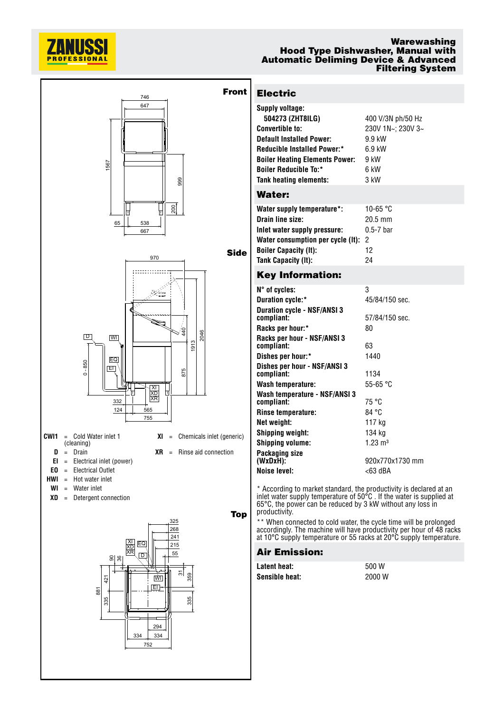

## **Warewashing Hood Type Dishwasher, Manual with Automatic Deliming Device & Advanced Filtering System**



| <b>Electric</b> |  |
|-----------------|--|
|                 |  |

|    | <b>Supply voltage:</b>                |                   |
|----|---------------------------------------|-------------------|
|    | 504273 (ZHT8ILG)                      | 400 V/3N ph/50 Hz |
|    | <b>Convertible to:</b>                | 230V 1N~; 230V 3~ |
|    | <b>Default Installed Power:</b>       | 9.9 kW            |
|    | <b>Reducible Installed Power:*</b>    | $6.9$ kW          |
|    | <b>Boiler Heating Elements Power:</b> | 9 kW              |
|    | <b>Boiler Reducible To:*</b>          | 6 kW              |
|    | Tank heating elements:                | 3 kW              |
|    | Water:                                |                   |
|    | Water supply temperature*:            | 10-65 °C          |
|    | Drain line size:                      | $20.5 \text{ mm}$ |
|    | Inlet water supply pressure:          | $0.5 - 7$ bar     |
|    | Water consumption per cycle (It):     | 2                 |
| de | <b>Boiler Capacity (It):</b>          | 12                |
|    | Tank Capacity (It):                   | 24                |
|    | ---                                   |                   |

# **Key Information:**

| $N^{\circ}$ of cycles:                           | 3                  |
|--------------------------------------------------|--------------------|
| Duration cycle:*                                 | 45/84/150 sec.     |
| <b>Duration cycle - NSF/ANSI 3</b><br>compliant: | 57/84/150 sec.     |
| Racks per hour:*                                 | 80                 |
| Racks per hour - NSF/ANSI 3<br>compliant:        | 63                 |
| Dishes per hour:*                                | 1440               |
| Dishes per hour - NSF/ANSI 3<br>compliant:       | 1134               |
| Wash temperature:                                | 55-65 °C           |
| Wash temperature - NSF/ANSI 3<br>compliant:      | 75 °C              |
| Rinse temperature:                               | 84 °C              |
| Net weight:                                      | 117 kg             |
| Shipping weight:                                 | 134 kg             |
| <b>Shipping volume:</b>                          | $1.23 \text{ m}^3$ |
| Packaging size<br>(WxDxH):                       | 920x770x1730 mm    |
| <b>Noise level:</b>                              | <63 dBA            |
|                                                  |                    |

\* According to market standard, the productivity is declared at ar inlet water supply temperature of 50°C . If the water is supplied at 65°C, the power can be reduced by 3 kW without any loss in productivity.

\*\* When connected to cold water, the cycle time will be prolonged accordingly. The machine will have productivity per hour of 48 racks at 10°C supply temperature or 55 racks at 20°C supply temperature.

# **Air Emission:**

| Latent heat:   | 500 W  |
|----------------|--------|
| Sensible heat: | 2000 W |